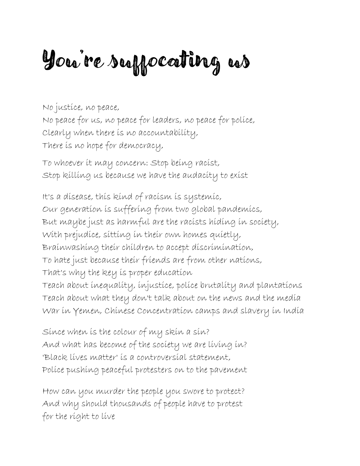## You're suffocating us

No justice, no peace, No peace for us, no peace for leaders, no peace for police, Clearly when there is no accountability, There is no hope for democracy,

To whoever it may concern: Stop being racist, Stop killing us because we have the audacity to exist

It's a disease, this kind of racism is systemic, Our generation is suffering from two global pandemics, But maybe just as harmful are the racists hiding in society, With prejudice, sitting in their own homes quietly, Brainwashing their children to accept discrimination, To hate just because their friends are from other nations, That's why the key is proper education Teach about inequality, injustice, police brutality and plantations Teach about what they don't talk about on the news and the media

War in Yemen, Chinese Concentration camps and slavery in India

Since when is the colour of my skin a sin? And what has become of the society we are living in? 'Black lives matter' is a controversial statement, Police pushing peaceful protesters on to the pavement

How can you murder the people you swore to protect? And why should thousands of people have to protest for the right to live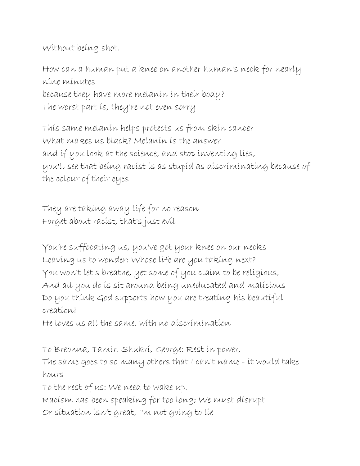Without being shot.

How can a human put a knee on another human's neck for nearly nine minutes because they have more melanin in their body? The worst part is, they're not even sorry

This same melanin helps protects us from skin cancer What makes us black? Melanin is the answer and if you look at the science, and stop inventing lies, you'll see that being racist is as stupid as discriminating because of the colour of their eyes

They are taking away life for no reason Forget about racist, that's just evil

You're suffocating us, you've got your knee on our necks Leaving us to wonder: Whose life are you taking next? You won't let s breathe, yet some of you claim to be religious, And all you do is sit around being uneducated and malicious Do you think God supports how you are treating his beautiful creation?

He loves us all the same, with no discrimination

To Breonna, Tamir, Shukri, George: Rest in power, The same goes to so many others that I can't name - it would take hours To the rest of us: We need to wake up. Racism has been speaking for too long; We must disrupt

Or situation isn't great, I'm not going to lie